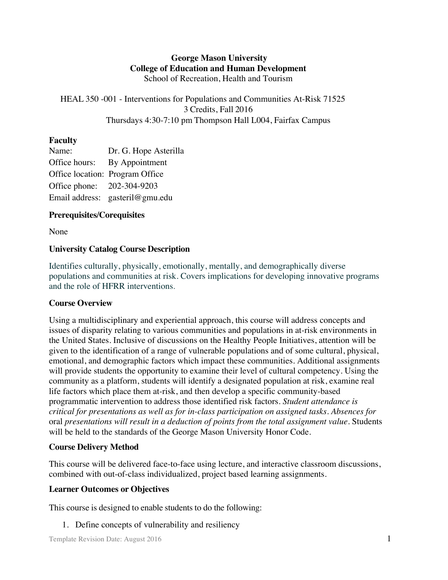## **George Mason University College of Education and Human Development** School of Recreation, Health and Tourism

HEAL 350 -001 - Interventions for Populations and Communities At-Risk 71525 3 Credits, Fall 2016 Thursdays 4:30-7:10 pm Thompson Hall L004, Fairfax Campus

## **Faculty**

| Name:                      | Dr. G. Hope Asterilla           |
|----------------------------|---------------------------------|
| Office hours:              | By Appointment                  |
|                            | Office location: Program Office |
| Office phone: 202-304-9203 |                                 |
|                            | Email address: gasteril@gmu.edu |

# **Prerequisites/Corequisites**

None

## **University Catalog Course Description**

Identifies culturally, physically, emotionally, mentally, and demographically diverse populations and communities at risk. Covers implications for developing innovative programs and the role of HFRR interventions.

# **Course Overview**

Using a multidisciplinary and experiential approach, this course will address concepts and issues of disparity relating to various communities and populations in at-risk environments in the United States. Inclusive of discussions on the Healthy People Initiatives, attention will be given to the identification of a range of vulnerable populations and of some cultural, physical, emotional, and demographic factors which impact these communities. Additional assignments will provide students the opportunity to examine their level of cultural competency. Using the community as a platform, students will identify a designated population at risk, examine real life factors which place them at-risk, and then develop a specific community-based programmatic intervention to address those identified risk factors. *Student attendance is critical for presentations as well as for in-class participation on assigned tasks. Absences for*  oral *presentations will result in a deduction of points from the total assignment value.* Students will be held to the standards of the George Mason University Honor Code.

# **Course Delivery Method**

This course will be delivered face-to-face using lecture, and interactive classroom discussions, combined with out-of-class individualized, project based learning assignments.

# **Learner Outcomes or Objectives**

This course is designed to enable students to do the following:

1. Define concepts of vulnerability and resiliency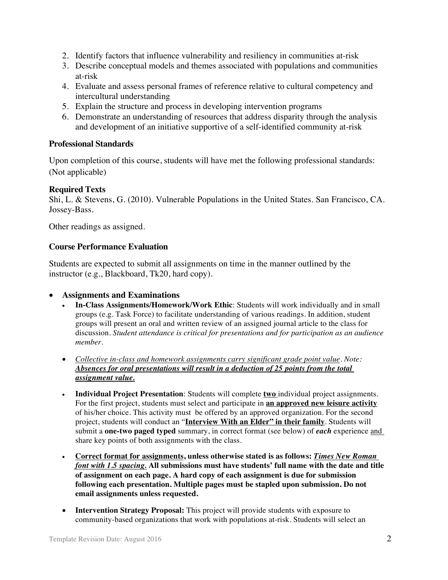- 2. Identify factors that influence vulnerability and resiliency in communities at-risk
- 3. Describe conceptual models and themes associated with populations and communities at-risk
- 4. Evaluate and assess personal frames of reference relative to cultural competency and intercultural understanding
- 5. Explain the structure and process in developing intervention programs
- 6. Demonstrate an understanding of resources that address disparity through the analysis and development of an initiative supportive of a self-identified community at-risk

#### **Professional Standards**

Upon completion of this course, students will have met the following professional standards: (Not applicable)

#### **Required Texts**

Shi, L. & Stevens, G. (2010). Vulnerable Populations in the United States. San Francisco, CA. Jossey-Bass.

Other readings as assigned.

#### **Course Performance Evaluation**

Students are expected to submit all assignments on time in the manner outlined by the instructor (e.g., Blackboard, Tk20, hard copy).

#### • **Assignments and Examinations**

- **In-Class Assignments/Homework/Work Ethic**: Students will work individually and in small groups (e.g. Task Force) to facilitate understanding of various readings. In addition, student groups will present an oral and written review of an assigned journal article to the class for discussion. *Student attendance is critical for presentations and for participation as an audience member.*
- *Collective in-class and homework assignments carry significant grade point value. Note: Absences for oral presentations will result in a deduction of 25 points from the total assignment value.*
- **Individual Project Presentation**: Students will complete **two** individual project assignments. For the first project, students must select and participate in **an approved new leisure activity** of his/her choice. This activity must be offered by an approved organization. For the second project, students will conduct an "**Interview With an Elder" in their family**. Students will submit a **one-two paged typed** summary, in correct format (see below) of *each* experience and share key points of both assignments with the class.
- **Correct format for assignments, unless otherwise stated is as follows:** *Times New Roman font with 1.5 spacing.* **All submissions must have students' full name with the date and title of assignment on each page. A hard copy of each assignment is due for submission following each presentation. Multiple pages must be stapled upon submission. Do not email assignments unless requested.**
- **Intervention Strategy Proposal:** This project will provide students with exposure to community-based organizations that work with populations at-risk. Students will select an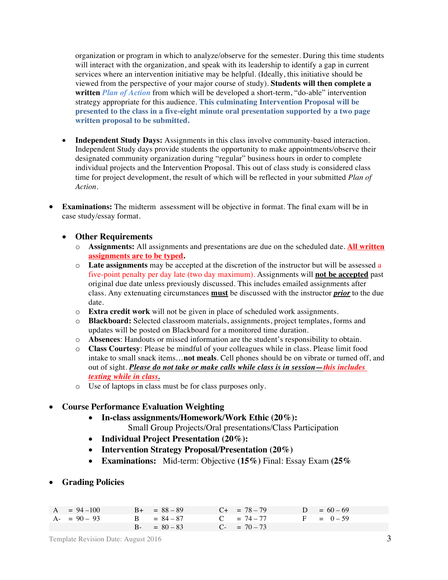organization or program in which to analyze/observe for the semester. During this time students will interact with the organization, and speak with its leadership to identify a gap in current services where an intervention initiative may be helpful. (Ideally, this initiative should be viewed from the perspective of your major course of study). **Students will then complete a written** *Plan of Action* from which will be developed a short-term, "do-able" intervention strategy appropriate for this audience. **This culminating Intervention Proposal will be presented to the class in a five-eight minute oral presentation supported by a two page written proposal to be submitted.**

- **Independent Study Days:** Assignments in this class involve community-based interaction. Independent Study days provide students the opportunity to make appointments/observe their designated community organization during "regular" business hours in order to complete individual projects and the Intervention Proposal. This out of class study is considered class time for project development, the result of which will be reflected in your submitted *Plan of Action.*
- **Examinations:** The midterm assessment will be objective in format. The final exam will be in case study/essay format.

#### • **Other Requirements**

- o **Assignments:** All assignments and presentations are due on the scheduled date. **All written assignments are to be typed.**
- o **Late assignments** may be accepted at the discretion of the instructor but will be assessed a five-point penalty per day late (two day maximum). Assignments will **not be accepted** past original due date unless previously discussed. This includes emailed assignments after class. Any extenuating circumstances **must** be discussed with the instructor *prior* to the due date.
- o **Extra credit work** will not be given in place of scheduled work assignments.
- o **Blackboard:** Selected classroom materials, assignments, project templates, forms and updates will be posted on Blackboard for a monitored time duration.
- o **Absences**: Handouts or missed information are the student's responsibility to obtain.
- o **Class Courtesy**: Please be mindful of your colleagues while in class. Please limit food intake to small snack items…**not meals**. Cell phones should be on vibrate or turned off, and out of sight. *Please do not take or make calls while class is in session—this includes texting while in class.*
- o Use of laptops in class must be for class purposes only.

#### • **Course Performance Evaluation Weighting**

• **In-class assignments/Homework/Work Ethic (20%):**

Small Group Projects/Oral presentations/Class Participation

- **Individual Project Presentation (20%):**
- **Intervention Strategy Proposal/Presentation (20%)**
- **Examinations:** Mid-term: Objective **(15%)** Final: Essay Exam **(25%**
- **Grading Policies**

| $A = 94 - 100$ | $B_{+} = 88 - 89$ | $C_{+}$ = 78 - 79 | $D = 60 - 69$ |
|----------------|-------------------|-------------------|---------------|
| $A - 90 - 93$  | $B = 84 - 87$     | $C = 74 - 77$     | $F = 0 - 59$  |
|                | $B - = 80 - 83$   | $C_{-}$ = 70 - 73 |               |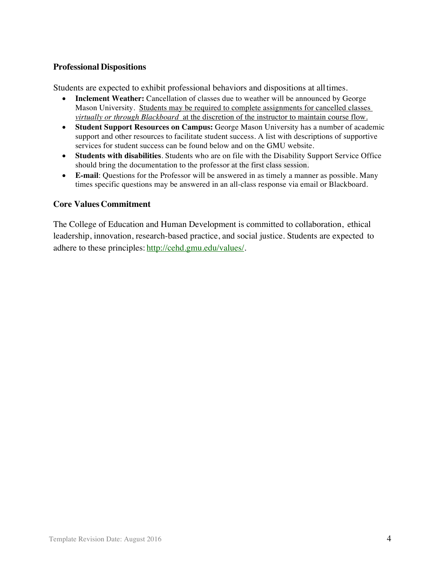#### **Professional Dispositions**

Students are expected to exhibit professional behaviors and dispositions at alltimes.

- **Inclement Weather:** Cancellation of classes due to weather will be announced by George Mason University. Students may be required to complete assignments for cancelled classes *virtually or through Blackboard* at the discretion of the instructor to maintain course flow.
- **Student Support Resources on Campus:** George Mason University has a number of academic support and other resources to facilitate student success. A list with descriptions of supportive services for student success can be found below and on the GMU website.
- **Students with disabilities**. Students who are on file with the Disability Support Service Office should bring the documentation to the professor at the first class session.
- **E-mail**: Questions for the Professor will be answered in as timely a manner as possible. Many times specific questions may be answered in an all-class response via email or Blackboard.

#### **Core Values Commitment**

The College of Education and Human Development is committed to collaboration, ethical leadership, innovation, research-based practice, and social justice. Students are expected to adhere to these principles: http://cehd.gmu.edu/values/.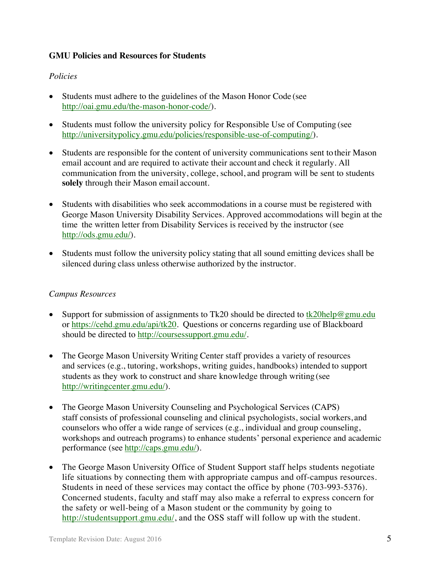## **GMU Policies and Resources for Students**

## *Policies*

- Students must adhere to the guidelines of the Mason Honor Code (see http://oai.gmu.edu/the-mason-honor-code/).
- Students must follow the university policy for Responsible Use of Computing (see http://universitypolicy.gmu.edu/policies/responsible-use-of-computing/).
- Students are responsible for the content of university communications sent to their Mason email account and are required to activate their account and check it regularly. All communication from the university, college, school, and program will be sent to students **solely** through their Mason email account.
- Students with disabilities who seek accommodations in a course must be registered with George Mason University Disability Services. Approved accommodations will begin at the time the written letter from Disability Services is received by the instructor (see http://ods.gmu.edu/).
- Students must follow the university policy stating that all sound emitting devices shall be silenced during class unless otherwise authorized by the instructor.

## *Campus Resources*

- Support for submission of assignments to Tk20 should be directed to tk20help@gmu.edu or https://cehd.gmu.edu/api/tk20. Questions or concerns regarding use of Blackboard should be directed to http://coursessupport.gmu.edu/.
- The George Mason University Writing Center staff provides a variety of resources and services (e.g., tutoring, workshops, writing guides, handbooks) intended to support students as they work to construct and share knowledge through writing (see http://writingcenter.gmu.edu/).
- The George Mason University Counseling and Psychological Services (CAPS) staff consists of professional counseling and clinical psychologists, social workers, and counselors who offer a wide range of services (e.g., individual and group counseling, workshops and outreach programs) to enhance students' personal experience and academic performance (see http://caps.gmu.edu/).
- The George Mason University Office of Student Support staff helps students negotiate life situations by connecting them with appropriate campus and off-campus resources. Students in need of these services may contact the office by phone (703-993-5376). Concerned students, faculty and staff may also make a referral to express concern for the safety or well-being of a Mason student or the community by going to http://studentsupport.gmu.edu/, and the OSS staff will follow up with the student.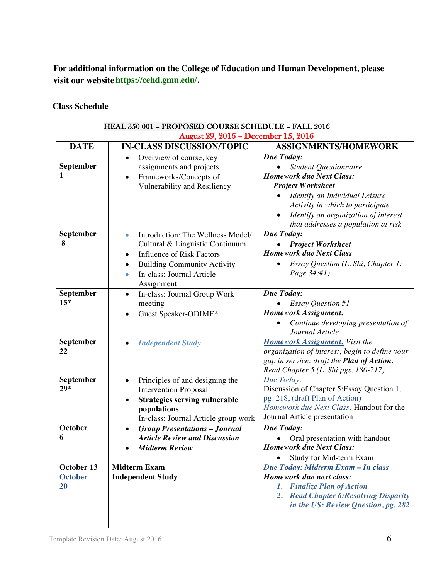**For additional information on the College of Education and Human Development, please visit our website https://cehd.gmu.edu/.**

**Class Schedule**

|                      | August 29, 2016 - December 15, 2016                                                                                                                                                                                                   |                                                                                                                                                                                                                                                                      |  |  |
|----------------------|---------------------------------------------------------------------------------------------------------------------------------------------------------------------------------------------------------------------------------------|----------------------------------------------------------------------------------------------------------------------------------------------------------------------------------------------------------------------------------------------------------------------|--|--|
| <b>DATE</b>          | <b>IN-CLASS DISCUSSION/TOPIC</b>                                                                                                                                                                                                      | <b>ASSIGNMENTS/HOMEWORK</b>                                                                                                                                                                                                                                          |  |  |
| September<br>1       | Overview of course, key<br>$\bullet$<br>assignments and projects<br>Frameworks/Concepts of<br>$\bullet$<br>Vulnerability and Resiliency                                                                                               | Due Today:<br>Student Questionnaire<br><b>Homework due Next Class:</b><br><b>Project Worksheet</b><br>Identify an Individual Leisure<br>Activity in which to participate<br>Identify an organization of interest<br>$\bullet$<br>that addresses a population at risk |  |  |
| September<br>8       | Introduction: The Wellness Model/<br>$\bullet$<br>Cultural & Linguistic Continuum<br><b>Influence of Risk Factors</b><br>$\bullet$<br><b>Building Community Activity</b><br>٠<br>In-class: Journal Article<br>$\bullet$<br>Assignment | Due Today:<br><b>Project Worksheet</b><br><b>Homework due Next Class</b><br>Essay Question (L. Shi, Chapter 1:<br>Page 34:#1)                                                                                                                                        |  |  |
| September<br>$15*$   | In-class: Journal Group Work<br>$\bullet$<br>meeting<br>Guest Speaker-ODIME*                                                                                                                                                          | Due Today:<br><b>Essay Question #1</b><br><b>Homework Assignment:</b><br>Continue developing presentation of<br>Journal Article                                                                                                                                      |  |  |
| September<br>22      | <b>Independent Study</b>                                                                                                                                                                                                              | <b>Homework Assignment:</b> Visit the<br>organization of interest; begin to define your<br>gap in service: draft the <b>Plan of Action</b> .<br>Read Chapter 5 (L. Shi pgs. 180-217)                                                                                 |  |  |
| September<br>$29*$   | Principles of and designing the<br>$\bullet$<br><b>Intervention Proposal</b><br><b>Strategies serving vulnerable</b><br>٠<br>populations<br>In-class: Journal Article group work                                                      | Due Today:<br>Discussion of Chapter 5: Essay Question 1,<br>pg. 218, (draft Plan of Action)<br>Homework due Next Class: Handout for the<br>Journal Article presentation                                                                                              |  |  |
| <b>October</b><br>6  | <b>Group Presentations - Journal</b><br>$\bullet$<br><b>Article Review and Discussion</b><br><b>Midterm Review</b>                                                                                                                    | Due Today:<br>Oral presentation with handout<br><b>Homework due Next Class:</b><br>Study for Mid-term Exam                                                                                                                                                           |  |  |
| October 13           | <b>Midterm Exam</b>                                                                                                                                                                                                                   | Due Today: Midterm Exam - In class                                                                                                                                                                                                                                   |  |  |
| <b>October</b><br>20 | <b>Independent Study</b>                                                                                                                                                                                                              | Homework due next class:<br>1. Finalize Plan of Action<br>2. Read Chapter 6: Resolving Disparity<br>in the US: Review Question, pg. 282                                                                                                                              |  |  |

## HEAL 350 001 – PROPOSED COURSE SCHEDULE – FALL 2016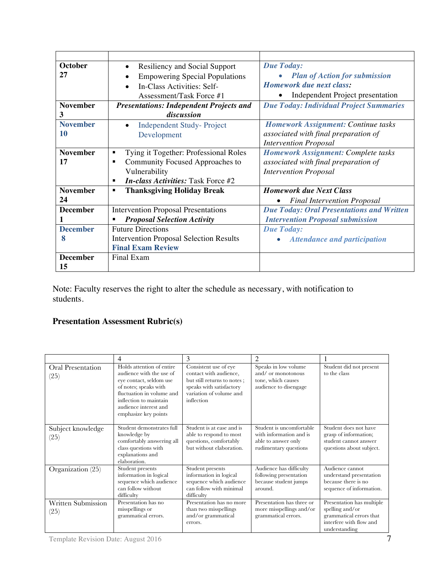| <b>October</b>  | <b>Resiliency and Social Support</b>              | <b>Due Today:</b>                                |  |  |
|-----------------|---------------------------------------------------|--------------------------------------------------|--|--|
| 27              | <b>Empowering Special Populations</b>             | <b>Plan of Action for submission</b>             |  |  |
|                 | In-Class Activities: Self-                        | Homework due next class:                         |  |  |
|                 | Assessment/Task Force #1                          | Independent Project presentation                 |  |  |
| <b>November</b> | <b>Presentations: Independent Projects and</b>    | <b>Due Today: Individual Project Summaries</b>   |  |  |
| 3               | discussion                                        |                                                  |  |  |
| <b>November</b> | <b>Independent Study-Project</b>                  | <b>Homework Assignment: Continue tasks</b>       |  |  |
| <b>10</b>       | Development                                       | associated with final preparation of             |  |  |
|                 |                                                   | <b>Intervention Proposal</b>                     |  |  |
| <b>November</b> | Tying it Together: Professional Roles<br>٠        | <b>Homework Assignment: Complete tasks</b>       |  |  |
| 17              | Community Focused Approaches to<br>$\blacksquare$ | associated with final preparation of             |  |  |
|                 | Vulnerability                                     | <b>Intervention Proposal</b>                     |  |  |
|                 | <b>In-class Activities: Task Force #2</b><br>п    |                                                  |  |  |
| <b>November</b> | <b>Thanksgiving Holiday Break</b><br>٠            | <b>Homework due Next Class</b>                   |  |  |
| 24              |                                                   | <b>Final Intervention Proposal</b><br>$\bullet$  |  |  |
| <b>December</b> | <b>Intervention Proposal Presentations</b>        | <b>Due Today: Oral Presentations and Written</b> |  |  |
|                 | <b>Proposal Selection Activity</b><br>٠           | <b>Intervention Proposal submission</b>          |  |  |
| <b>December</b> | <b>Future Directions</b>                          | <b>Due Today:</b>                                |  |  |
| 8               | <b>Intervention Proposal Selection Results</b>    | <b>Attendance and participation</b>              |  |  |
|                 | <b>Final Exam Review</b>                          |                                                  |  |  |
| <b>December</b> | Final Exam                                        |                                                  |  |  |
| 15              |                                                   |                                                  |  |  |

Note: Faculty reserves the right to alter the schedule as necessary, with notification to students.

# **Presentation Assessment Rubric(s)**

|                            | 4                                                                                                                                                                                                                 | 3                                                                                                                                                   | 2                                                                                                   |                                                                                                                     |
|----------------------------|-------------------------------------------------------------------------------------------------------------------------------------------------------------------------------------------------------------------|-----------------------------------------------------------------------------------------------------------------------------------------------------|-----------------------------------------------------------------------------------------------------|---------------------------------------------------------------------------------------------------------------------|
| Oral Presentation<br>(25)  | Holds attention of entire<br>audience with the use of<br>eye contact, seldom use<br>of notes; speaks with<br>fluctuation in volume and<br>inflection to maintain<br>audience interest and<br>emphasize key points | Consistent use of eye<br>contact with audience,<br>but still returns to notes;<br>speaks with satisfactory<br>variation of volume and<br>inflection | Speaks in low volume<br>and/ or monotonous<br>tone, which causes<br>audience to disengage           | Student did not present<br>to the class                                                                             |
| Subject knowledge<br>(25)  | Student demonstrates full<br>knowledge by<br>comfortably answering all<br>class questions with<br>explanations and<br>elaboration.                                                                                | Student is at ease and is<br>able to respond to most<br>questions, comfortably<br>but without elaboration.                                          | Student is uncomfortable<br>with information and is<br>able to answer only<br>rudimentary questions | Student does not have<br>grasp of information;<br>student cannot answer<br>questions about subject.                 |
| Organization (25)          | Student presents<br>information in logical<br>sequence which audience<br>can follow without<br>difficulty                                                                                                         | Student presents<br>information in logical<br>sequence which audience<br>can follow with minimal<br>difficulty                                      | Audience has difficulty<br>following presentation<br>because student jumps<br>around.               | Audience cannot<br>understand presentation<br>because there is no<br>sequence of information.                       |
| Written Submission<br>(25) | Presentation has no<br>misspellings or<br>grammatical errors.                                                                                                                                                     | Presentation has no more<br>than two misspellings<br>and/or grammatical<br>errors.                                                                  | Presentation has three or<br>more misspellings and/or<br>grammatical errors.                        | Presentation has multiple<br>spelling and/or<br>grammatical errors that<br>interfere with flow and<br>understanding |

Template Revision Date: August 2016 7